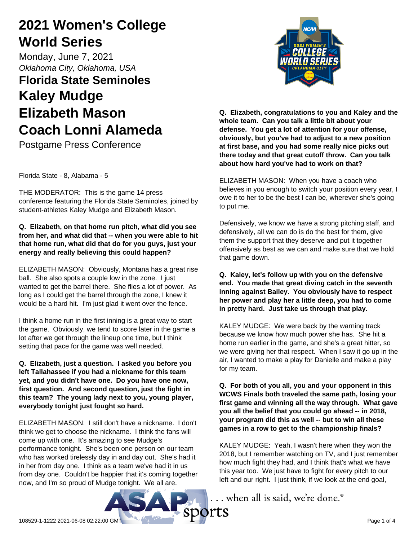# **2021 Women's College World Series**

Monday, June 7, 2021 *Oklahoma City, Oklahoma, USA*

# **Florida State Seminoles Kaley Mudge Elizabeth Mason Coach Lonni Alameda**

Postgame Press Conference

Florida State - 8, Alabama - 5

THE MODERATOR: This is the game 14 press conference featuring the Florida State Seminoles, joined by student-athletes Kaley Mudge and Elizabeth Mason.

## **Q. Elizabeth, on that home run pitch, what did you see from her, and what did that -- when you were able to hit that home run, what did that do for you guys, just your energy and really believing this could happen?**

ELIZABETH MASON: Obviously, Montana has a great rise ball. She also spots a couple low in the zone. I just wanted to get the barrel there. She flies a lot of power. As long as I could get the barrel through the zone, I knew it would be a hard hit. I'm just glad it went over the fence.

I think a home run in the first inning is a great way to start the game. Obviously, we tend to score later in the game a lot after we get through the lineup one time, but I think setting that pace for the game was well needed.

**Q. Elizabeth, just a question. I asked you before you left Tallahassee if you had a nickname for this team yet, and you didn't have one. Do you have one now, first question. And second question, just the fight in this team? The young lady next to you, young player, everybody tonight just fought so hard.**

ELIZABETH MASON: I still don't have a nickname. I don't think we get to choose the nickname. I think the fans will come up with one. It's amazing to see Mudge's performance tonight. She's been one person on our team who has worked tirelessly day in and day out. She's had it in her from day one. I think as a team we've had it in us from day one. Couldn't be happier that it's coming together now, and I'm so proud of Mudge tonight. We all are.



**Q. Elizabeth, congratulations to you and Kaley and the whole team. Can you talk a little bit about your defense. You get a lot of attention for your offense, obviously, but you've had to adjust to a new position at first base, and you had some really nice picks out there today and that great cutoff throw. Can you talk about how hard you've had to work on that?**

ELIZABETH MASON: When you have a coach who believes in you enough to switch your position every year, I owe it to her to be the best I can be, wherever she's going to put me.

Defensively, we know we have a strong pitching staff, and defensively, all we can do is do the best for them, give them the support that they deserve and put it together offensively as best as we can and make sure that we hold that game down.

**Q. Kaley, let's follow up with you on the defensive end. You made that great diving catch in the seventh inning against Bailey. You obviously have to respect her power and play her a little deep, you had to come in pretty hard. Just take us through that play.**

KALEY MUDGE: We were back by the warning track because we know how much power she has. She hit a home run earlier in the game, and she's a great hitter, so we were giving her that respect. When I saw it go up in the air, I wanted to make a play for Danielle and make a play for my team.

**Q. For both of you all, you and your opponent in this WCWS Finals both traveled the same path, losing your first game and winning all the way through. What gave you all the belief that you could go ahead -- in 2018, your program did this as well -- but to win all these games in a row to get to the championship finals?**

KALEY MUDGE: Yeah, I wasn't here when they won the 2018, but I remember watching on TV, and I just remember how much fight they had, and I think that's what we have this year too. We just have to fight for every pitch to our left and our right. I just think, if we look at the end goal,

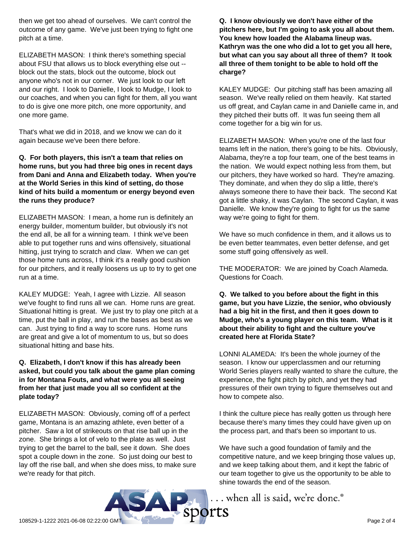then we get too ahead of ourselves. We can't control the outcome of any game. We've just been trying to fight one pitch at a time.

ELIZABETH MASON: I think there's something special about FSU that allows us to block everything else out - block out the stats, block out the outcome, block out anyone who's not in our corner. We just look to our left and our right. I look to Danielle, I look to Mudge, I look to our coaches, and when you can fight for them, all you want to do is give one more pitch, one more opportunity, and one more game.

That's what we did in 2018, and we know we can do it again because we've been there before.

**Q. For both players, this isn't a team that relies on home runs, but you had three big ones in recent days from Dani and Anna and Elizabeth today. When you're at the World Series in this kind of setting, do those kind of hits build a momentum or energy beyond even the runs they produce?**

ELIZABETH MASON: I mean, a home run is definitely an energy builder, momentum builder, but obviously it's not the end all, be all for a winning team. I think we've been able to put together runs and wins offensively, situational hitting, just trying to scratch and claw. When we can get those home runs across, I think it's a really good cushion for our pitchers, and it really loosens us up to try to get one run at a time.

KALEY MUDGE: Yeah, I agree with Lizzie. All season we've fought to find runs all we can. Home runs are great. Situational hitting is great. We just try to play one pitch at a time, put the ball in play, and run the bases as best as we can. Just trying to find a way to score runs. Home runs are great and give a lot of momentum to us, but so does situational hitting and base hits.

### **Q. Elizabeth, I don't know if this has already been asked, but could you talk about the game plan coming in for Montana Fouts, and what were you all seeing from her that just made you all so confident at the plate today?**

ELIZABETH MASON: Obviously, coming off of a perfect game, Montana is an amazing athlete, even better of a pitcher. Saw a lot of strikeouts on that rise ball up in the zone. She brings a lot of velo to the plate as well. Just trying to get the barrel to the ball, see it down. She does spot a couple down in the zone. So just doing our best to lay off the rise ball, and when she does miss, to make sure we're ready for that pitch.

**Q. I know obviously we don't have either of the pitchers here, but I'm going to ask you all about them. You knew how loaded the Alabama lineup was. Kathryn was the one who did a lot to get you all here, but what can you say about all three of them? It took all three of them tonight to be able to hold off the charge?**

KALEY MUDGE: Our pitching staff has been amazing all season. We've really relied on them heavily. Kat started us off great, and Caylan came in and Danielle came in, and they pitched their butts off. It was fun seeing them all come together for a big win for us.

ELIZABETH MASON: When you're one of the last four teams left in the nation, there's going to be hits. Obviously, Alabama, they're a top four team, one of the best teams in the nation. We would expect nothing less from them, but our pitchers, they have worked so hard. They're amazing. They dominate, and when they do slip a little, there's always someone there to have their back. The second Kat got a little shaky, it was Caylan. The second Caylan, it was Danielle. We know they're going to fight for us the same way we're going to fight for them.

We have so much confidence in them, and it allows us to be even better teammates, even better defense, and get some stuff going offensively as well.

THE MODERATOR: We are joined by Coach Alameda. Questions for Coach.

**Q. We talked to you before about the fight in this game, but you have Lizzie, the senior, who obviously had a big hit in the first, and then it goes down to Mudge, who's a young player on this team. What is it about their ability to fight and the culture you've created here at Florida State?**

LONNI ALAMEDA: It's been the whole journey of the season. I know our upperclassmen and our returning World Series players really wanted to share the culture, the experience, the fight pitch by pitch, and yet they had pressures of their own trying to figure themselves out and how to compete also.

I think the culture piece has really gotten us through here because there's many times they could have given up on the process part, and that's been so important to us.

We have such a good foundation of family and the competitive nature, and we keep bringing those values up, and we keep talking about them, and it kept the fabric of our team together to give us the opportunity to be able to shine towards the end of the season.

... when all is said, we're done.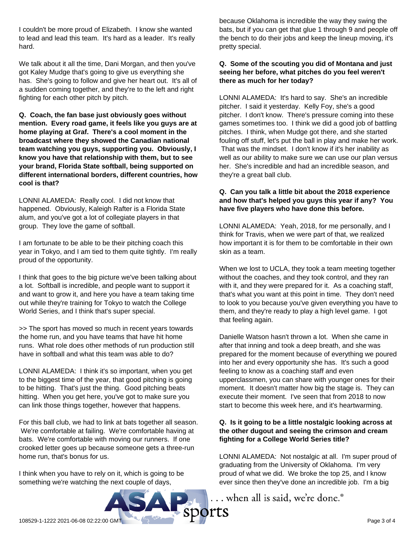I couldn't be more proud of Elizabeth. I know she wanted to lead and lead this team. It's hard as a leader. It's really hard.

We talk about it all the time, Dani Morgan, and then you've got Kaley Mudge that's going to give us everything she has. She's going to follow and give her heart out. It's all of a sudden coming together, and they're to the left and right fighting for each other pitch by pitch.

**Q. Coach, the fan base just obviously goes without mention. Every road game, it feels like you guys are at home playing at Graf. There's a cool moment in the broadcast where they showed the Canadian national team watching you guys, supporting you. Obviously, I know you have that relationship with them, but to see your brand, Florida State softball, being supported on different international borders, different countries, how cool is that?**

LONNI ALAMEDA: Really cool. I did not know that happened. Obviously, Kaleigh Rafter is a Florida State alum, and you've got a lot of collegiate players in that group. They love the game of softball.

I am fortunate to be able to be their pitching coach this year in Tokyo, and I am tied to them quite tightly. I'm really proud of the opportunity.

I think that goes to the big picture we've been talking about a lot. Softball is incredible, and people want to support it and want to grow it, and here you have a team taking time out while they're training for Tokyo to watch the College World Series, and I think that's super special.

>> The sport has moved so much in recent years towards the home run, and you have teams that have hit home runs. What role does other methods of run production still have in softball and what this team was able to do?

LONNI ALAMEDA: I think it's so important, when you get to the biggest time of the year, that good pitching is going to be hitting. That's just the thing. Good pitching beats hitting. When you get here, you've got to make sure you can link those things together, however that happens.

For this ball club, we had to link at bats together all season. We're comfortable at failing. We're comfortable having at bats. We're comfortable with moving our runners. If one crooked letter goes up because someone gets a three-run home run, that's bonus for us.

I think when you have to rely on it, which is going to be something we're watching the next couple of days,

because Oklahoma is incredible the way they swing the bats, but if you can get that glue 1 through 9 and people off the bench to do their jobs and keep the lineup moving, it's pretty special.

### **Q. Some of the scouting you did of Montana and just seeing her before, what pitches do you feel weren't there as much for her today?**

LONNI ALAMEDA: It's hard to say. She's an incredible pitcher. I said it yesterday. Kelly Foy, she's a good pitcher. I don't know. There's pressure coming into these games sometimes too. I think we did a good job of battling pitches. I think, when Mudge got there, and she started fouling off stuff, let's put the ball in play and make her work. That was the mindset. I don't know if it's her inability as well as our ability to make sure we can use our plan versus her. She's incredible and had an incredible season, and they're a great ball club.

## **Q. Can you talk a little bit about the 2018 experience and how that's helped you guys this year if any? You have five players who have done this before.**

LONNI ALAMEDA: Yeah, 2018, for me personally, and I think for Travis, when we were part of that, we realized how important it is for them to be comfortable in their own skin as a team.

When we lost to UCLA, they took a team meeting together without the coaches, and they took control, and they ran with it, and they were prepared for it. As a coaching staff, that's what you want at this point in time. They don't need to look to you because you've given everything you have to them, and they're ready to play a high level game. I got that feeling again.

Danielle Watson hasn't thrown a lot. When she came in after that inning and took a deep breath, and she was prepared for the moment because of everything we poured into her and every opportunity she has. It's such a good feeling to know as a coaching staff and even upperclassmen, you can share with younger ones for their moment. It doesn't matter how big the stage is. They can execute their moment. I've seen that from 2018 to now start to become this week here, and it's heartwarming.

#### **Q. Is it going to be a little nostalgic looking across at the other dugout and seeing the crimson and cream fighting for a College World Series title?**

LONNI ALAMEDA: Not nostalgic at all. I'm super proud of graduating from the University of Oklahoma. I'm very proud of what we did. We broke the top 25, and I know ever since then they've done an incredible job. I'm a big

... when all is said, we're done.<sup>®</sup>